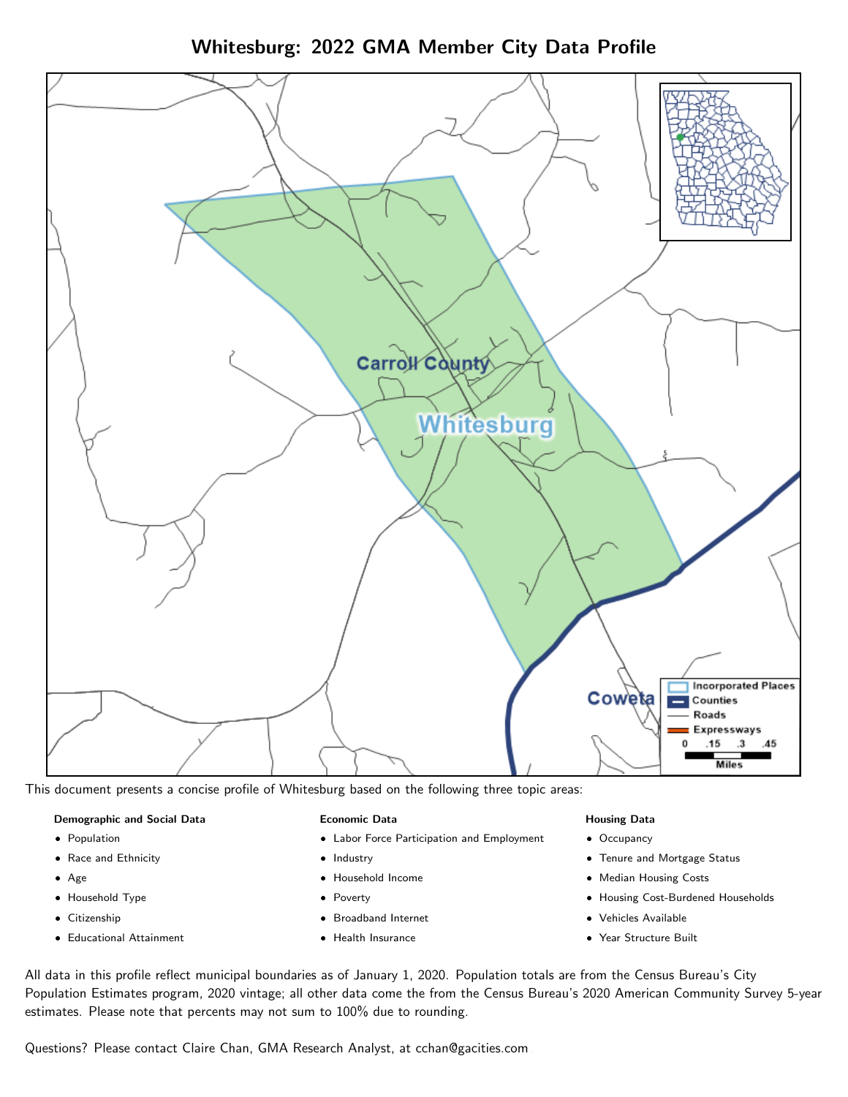



This document presents a concise profile of Whitesburg based on the following three topic areas:

#### Demographic and Social Data

- **•** Population
- Race and Ethnicity
- Age
- Household Type
- **Citizenship**
- Educational Attainment

#### Economic Data

- Labor Force Participation and Employment
- Industry
- Household Income
- Poverty
- Broadband Internet
- Health Insurance

#### Housing Data

- Occupancy
- Tenure and Mortgage Status
- Median Housing Costs
- Housing Cost-Burdened Households
- Vehicles Available
- Year Structure Built

All data in this profile reflect municipal boundaries as of January 1, 2020. Population totals are from the Census Bureau's City Population Estimates program, 2020 vintage; all other data come the from the Census Bureau's 2020 American Community Survey 5-year estimates. Please note that percents may not sum to 100% due to rounding.

Questions? Please contact Claire Chan, GMA Research Analyst, at [cchan@gacities.com.](mailto:cchan@gacities.com)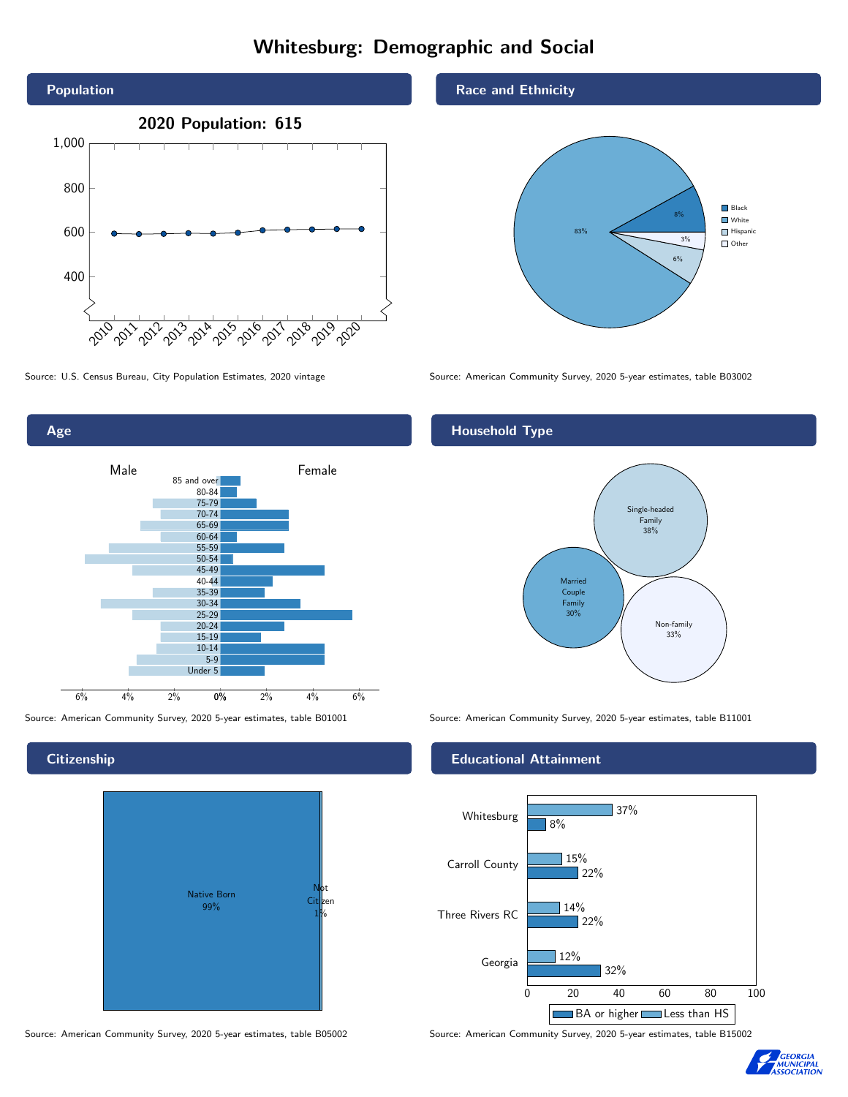# Whitesburg: Demographic and Social





# **Citizenship**



Source: American Community Survey, 2020 5-year estimates, table B05002 Source: American Community Survey, 2020 5-year estimates, table B15002

### Race and Ethnicity



Source: U.S. Census Bureau, City Population Estimates, 2020 vintage Source: American Community Survey, 2020 5-year estimates, table B03002

# Household Type



Source: American Community Survey, 2020 5-year estimates, table B01001 Source: American Community Survey, 2020 5-year estimates, table B11001

### Educational Attainment



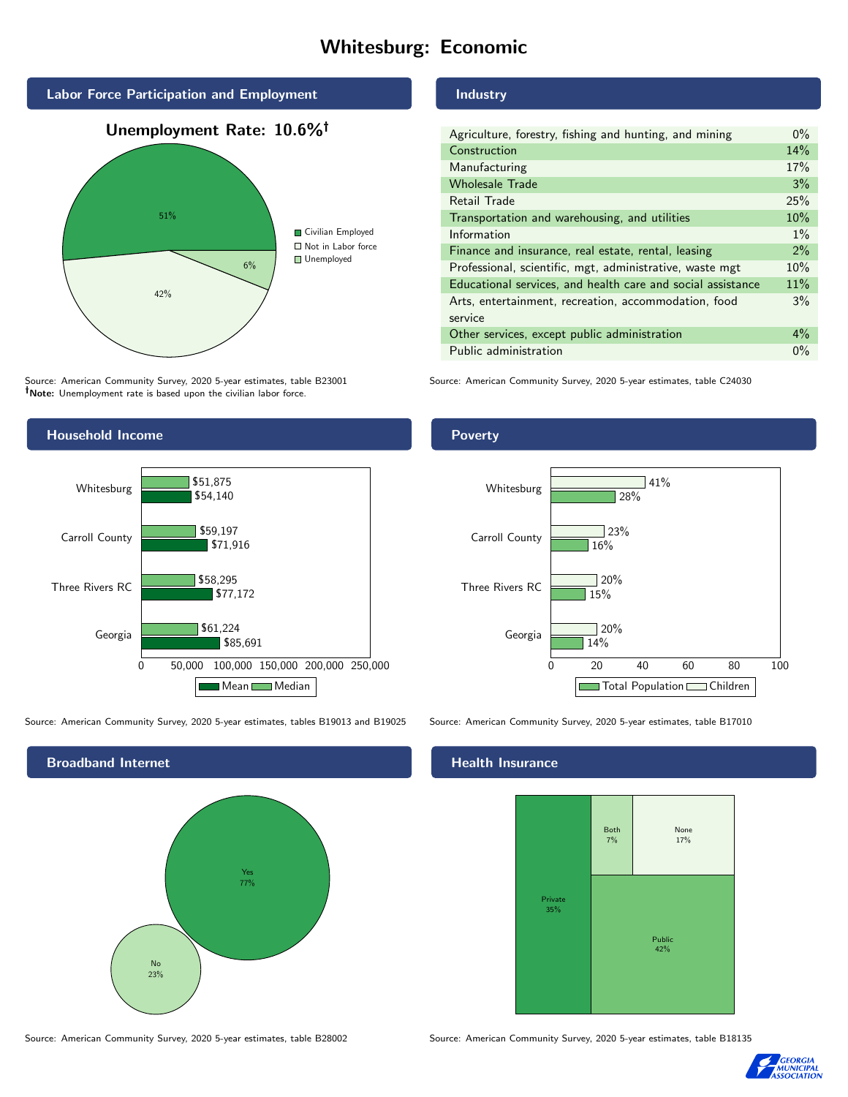# Whitesburg: Economic



Source: American Community Survey, 2020 5-year estimates, table B23001 Note: Unemployment rate is based upon the civilian labor force.

#### Industry

| Agriculture, forestry, fishing and hunting, and mining      | $0\%$ |
|-------------------------------------------------------------|-------|
| Construction                                                | 14%   |
| Manufacturing                                               | 17%   |
| <b>Wholesale Trade</b>                                      | 3%    |
| Retail Trade                                                | 25%   |
| Transportation and warehousing, and utilities               | 10%   |
| Information                                                 | $1\%$ |
| Finance and insurance, real estate, rental, leasing         | 2%    |
| Professional, scientific, mgt, administrative, waste mgt    | 10%   |
| Educational services, and health care and social assistance | 11%   |
| Arts, entertainment, recreation, accommodation, food        | 3%    |
| service                                                     |       |
| Other services, except public administration                | $4\%$ |
| Public administration                                       | $0\%$ |

Source: American Community Survey, 2020 5-year estimates, table C24030



Source: American Community Survey, 2020 5-year estimates, tables B19013 and B19025 Source: American Community Survey, 2020 5-year estimates, table B17010



#### Health Insurance



Source: American Community Survey, 2020 5-year estimates, table B28002 Source: American Community Survey, 2020 5-year estimates, table B18135